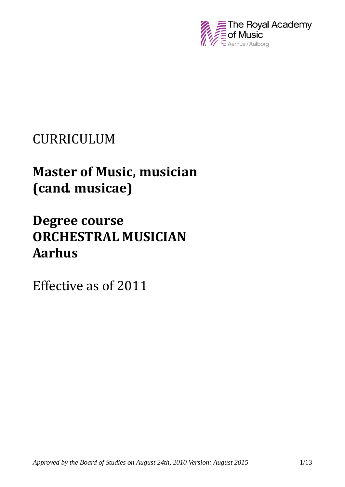

## CURRICULUM

# **Master of Music, musician (cand. musicae)**

# **Degree course ORCHESTRAL MUSICIAN Aarhus**

Effective as of 2011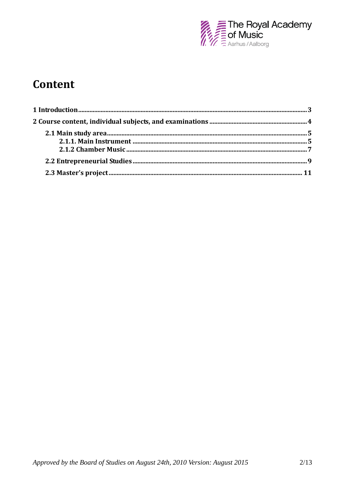

### Content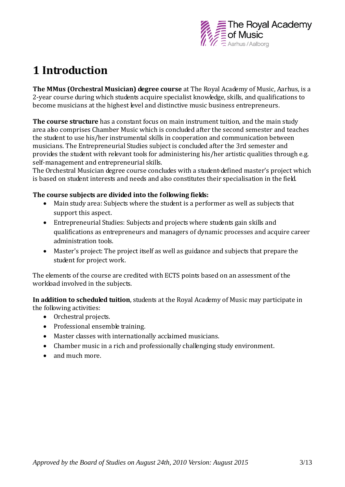

## **1 Introduction**

**The MMus (Orchestral Musician) degree course** at The Royal Academy of Music, Aarhus, is a 2-year course during which students acquire specialist knowledge, skills, and qualifications to become musicians at the highest level and distinctive music business entrepreneurs.

**The course structure** has a constant focus on main instrument tuition, and the main study area also comprises Chamber Music which is concluded after the second semester and teaches the student to use his/her instrumental skills in cooperation and communication between musicians. The Entrepreneurial Studies subject is concluded after the 3rd semester and provides the student with relevant tools for administering his/her artistic qualities through e.g. self-management and entrepreneurial skills.

The Orchestral Musician degree course concludes with a student-defined master's project which is based on student interests and needs and also constitutes their specialisation in the field.

#### **The course subjects are divided into the following fields:**

- Main study area: Subjects where the student is a performer as well as subjects that support this aspect.
- Entrepreneurial Studies: Subjects and projects where students gain skills and qualifications as entrepreneurs and managers of dynamic processes and acquire career administration tools.
- Master's project: The project itself as well as guidance and subjects that prepare the student for project work.

The elements of the course are credited with ECTS points based on an assessment of the workload involved in the subjects.

**In addition to scheduled tuition**, students at the Royal Academy of Music may participate in the following activities:

- Orchestral projects.
- Professional ensemble training.
- Master classes with internationally acclaimed musicians.
- Chamber music in a rich and professionally challenging study environment.
- and much more.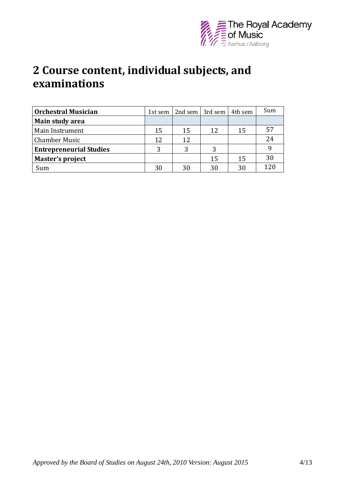

### **2 Course content, individual subjects, and examinations**

| <b>Orchestral Musician</b>     | 1st sem |    | 2nd sem   $3rd$ sem | 4th sem | Sum |
|--------------------------------|---------|----|---------------------|---------|-----|
| Main study area                |         |    |                     |         |     |
| Main Instrument                | 15      | 15 | 12                  | 15      | 57  |
| <b>Chamber Music</b>           | 12      | 12 |                     |         | 24  |
| <b>Entrepreneurial Studies</b> | 3       | 3  | 3                   |         | q   |
| Master's project               |         |    | 15                  | 15      | 30  |
| Sum                            | 30      | 30 | 30                  | 30      | 120 |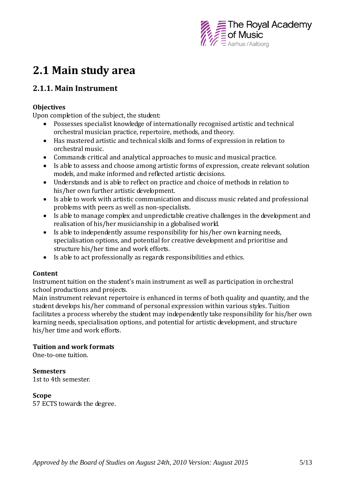

### **2.1 Main study area**

### **2.1.1. Main Instrument**

#### **Objectives**

Upon completion of the subject, the student:

- Possesses specialist knowledge of internationally recognised artistic and technical orchestral musician practice, repertoire, methods, and theory.
- Has mastered artistic and technical skills and forms of expression in relation to orchestral music.
- Commands critical and analytical approaches to music and musical practice.
- Is able to assess and choose among artistic forms of expression, create relevant solution models, and make informed and reflected artistic decisions.
- Understands and is able to reflect on practice and choice of methods in relation to his/her own further artistic development.
- Is able to work with artistic communication and discuss music related and professional problems with peers as well as non-specialists.
- Is able to manage complex and unpredictable creative challenges in the development and realisation of his/her musicianship in a globalised world.
- Is able to independently assume responsibility for his/her own learning needs, specialisation options, and potential for creative development and prioritise and structure his/her time and work efforts.
- Is able to act professionally as regards responsibilities and ethics.

#### **Content**

Instrument tuition on the student's main instrument as well as participation in orchestral school productions and projects.

Main instrument relevant repertoire is enhanced in terms of both quality and quantity, and the student develops his/her command of personal expression within various styles. Tuition facilitates a process whereby the student may independently take responsibility for his/her own learning needs, specialisation options, and potential for artistic development, and structure his/her time and work efforts.

#### **Tuition and work formats**

One-to-one tuition.

#### **Semesters**

1st to 4th semester.

#### **Scope**

57 ECTS towards the degree.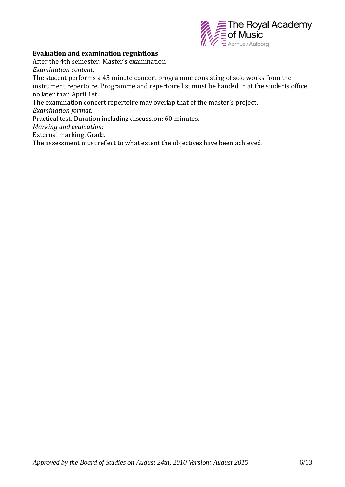

#### **Evaluation and examination regulations**

After the 4th semester: Master's examination *Examination content:*

The student performs a 45 minute concert programme consisting of solo works from the instrument repertoire. Programme and repertoire list must be handed in at the students office no later than April 1st.

The examination concert repertoire may overlap that of the master's project.

*Examination format:*

Practical test. Duration including discussion: 60 minutes.

*Marking and evaluation:*

External marking. Grade.

The assessment must reflect to what extent the objectives have been achieved.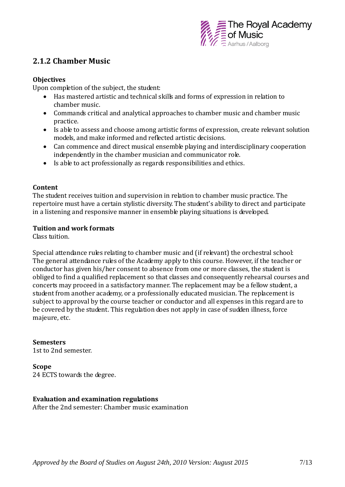

### **2.1.2 Chamber Music**

#### **Objectives**

Upon completion of the subject, the student:

- Has mastered artistic and technical skills and forms of expression in relation to chamber music.
- Commands critical and analytical approaches to chamber music and chamber music practice.
- Is able to assess and choose among artistic forms of expression, create relevant solution models, and make informed and reflected artistic decisions.
- Can commence and direct musical ensemble playing and interdisciplinary cooperation independently in the chamber musician and communicator role.
- Is able to act professionally as regards responsibilities and ethics.

#### **Content**

The student receives tuition and supervision in relation to chamber music practice. The repertoire must have a certain stylistic diversity. The student's ability to direct and participate in a listening and responsive manner in ensemble playing situations is developed.

#### **Tuition and work formats**

Class tuition.

Special attendance rules relating to chamber music and (if relevant) the orchestral school: The general attendance rules of the Academy apply to this course. However, if the teacher or conductor has given his/her consent to absence from one or more classes, the student is obliged to find a qualified replacement so that classes and consequently rehearsal courses and concerts may proceed in a satisfactory manner. The replacement may be a fellow student, a student from another academy, or a professionally educated musician. The replacement is subject to approval by the course teacher or conductor and all expenses in this regard are to be covered by the student. This regulation does not apply in case of sudden illness, force majeure, etc.

#### **Semesters**

1st to 2nd semester.

**Scope** 24 ECTS towards the degree.

#### **Evaluation and examination regulations**

After the 2nd semester: Chamber music examination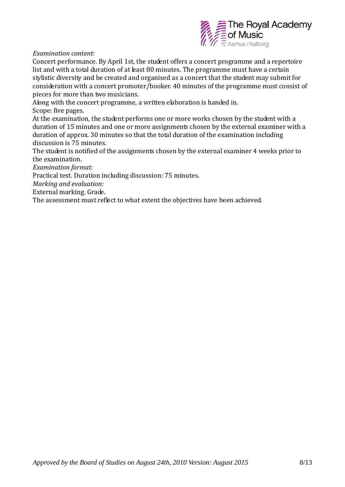

#### *Examination content:*

Concert performance. By April 1st, the student offers a concert programme and a repertoire list and with a total duration of at least 80 minutes. The programme must have a certain stylistic diversity and be created and organised as a concert that the student may submit for consideration with a concert promoter/booker. 40 minutes of the programme must consist of pieces for more than two musicians.

Along with the concert programme, a written elaboration is handed in. Scope: five pages.

At the examination, the student performs one or more works chosen by the student with a duration of 15 minutes and one or more assignments chosen by the external examiner with a duration of approx. 30 minutes so that the total duration of the examination including discussion is 75 minutes.

The student is notified of the assignments chosen by the external examiner 4 weeks prior to the examination.

*Examination format:*

Practical test. Duration including discussion: 75 minutes.

*Marking and evaluation:*

External marking. Grade.

The assessment must reflect to what extent the objectives have been achieved.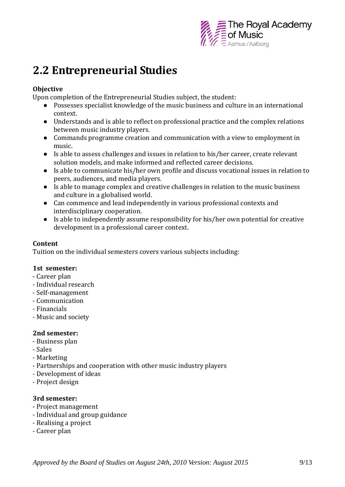

## **2.2 Entrepreneurial Studies**

#### **Objective**

Upon completion of the Entrepreneurial Studies subject, the student:

- Possesses specialist knowledge of the music business and culture in an international context.
- Understands and is able to reflect on professional practice and the complex relations between music industry players.
- Commands programme creation and communication with a view to employment in music.
- Is able to assess challenges and issues in relation to his/her career, create relevant solution models, and make informed and reflected career decisions.
- Is able to communicate his/her own profile and discuss vocational issues in relation to peers, audiences, and media players.
- Is able to manage complex and creative challenges in relation to the music business and culture in a globalised world.
- Can commence and lead independently in various professional contexts and interdisciplinary cooperation.
- Is able to independently assume responsibility for his/her own potential for creative development in a professional career context.

#### **Content**

Tuition on the individual semesters covers various subjects including:

#### **1st semester:**

- Career plan
- Individual research
- Self-management
- Communication
- Financials
- Music and society

#### **2nd semester:**

- Business plan
- Sales
- Marketing
- Partnerships and cooperation with other music industry players
- Development of ideas
- Project design

#### **3rd semester:**

- Project management
- Individual and group guidance
- Realising a project
- Career plan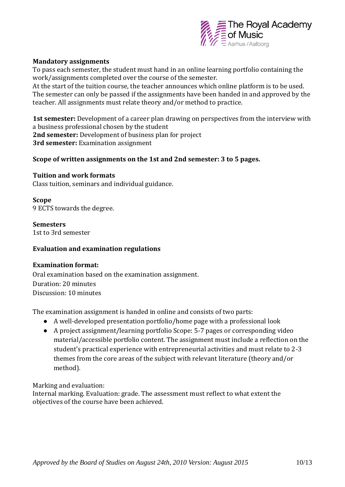

#### **Mandatory assignments**

To pass each semester, the student must hand in an online learning portfolio containing the work/assignments completed over the course of the semester.

At the start of the tuition course, the teacher announces which online platform is to be used. The semester can only be passed if the assignments have been handed in and approved by the teacher. All assignments must relate theory and/or method to practice.

**1st semester:** Development of a career plan drawing on perspectives from the interview with a business professional chosen by the student **2nd semester:** Development of business plan for project **3rd semester:** Examination assignment

#### **Scope of written assignments on the 1st and 2nd semester: 3 to 5 pages.**

#### **Tuition and work formats**

Class tuition, seminars and individual guidance.

#### **Scope**

9 ECTS towards the degree.

#### **Semesters**

1st to 3rd semester

#### **Evaluation and examination regulations**

#### **Examination format:**

Oral examination based on the examination assignment. Duration: 20 minutes Discussion: 10 minutes

The examination assignment is handed in online and consists of two parts:

- A well-developed presentation portfolio/home page with a professional look
- A project assignment/learning portfolio Scope: 5-7 pages or corresponding video material/accessible portfolio content. The assignment must include a reflection on the student's practical experience with entrepreneurial activities and must relate to 2-3 themes from the core areas of the subject with relevant literature (theory and/or method).

Marking and evaluation:

Internal marking. Evaluation: grade. The assessment must reflect to what extent the objectives of the course have been achieved.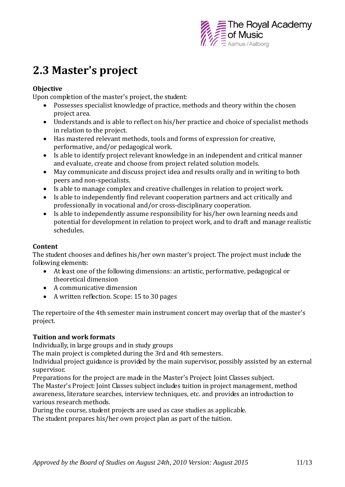

## **2.3 Master's project**

#### **Objective**

Upon completion of the master's project, the student:

- Possesses specialist knowledge of practice, methods and theory within the chosen project area.
- Understands and is able to reflect on his/her practice and choice of specialist methods in relation to the project.
- Has mastered relevant methods, tools and forms of expression for creative, performative, and/or pedagogical work.
- Is able to identify project relevant knowledge in an independent and critical manner and evaluate, create and choose from project related solution models.
- May communicate and discuss project idea and results orally and in writing to both peers and non-specialists.
- Is able to manage complex and creative challenges in relation to project work.
- Is able to independently find relevant cooperation partners and act critically and professionally in vocational and/or cross-disciplinary cooperation.
- Is able to independently assume responsibility for his/her own learning needs and potential for development in relation to project work, and to draft and manage realistic schedules.

#### **Content**

The student chooses and defines his/her own master's project. The project must include the following elements:

- At least one of the following dimensions: an artistic, performative, pedagogical or theoretical dimension
- A communicative dimension
- A written reflection. Scope: 15 to 30 pages

The repertoire of the 4th semester main instrument concert may overlap that of the master's project.

#### **Tuition and work formats**

Individually, in large groups and in study groups

The main project is completed during the 3rd and 4th semesters.

Individual project guidance is provided by the main supervisor, possibly assisted by an external supervisor.

Preparations for the project are made in the Master's Project: Joint Classes subject.

The Master's Project: Joint Classes subject includes tuition in project management, method awareness, literature searches, interview techniques, etc. and provides an introduction to various research methods.

During the course, student projects are used as case studies as applicable.

The student prepares his/her own project plan as part of the tuition.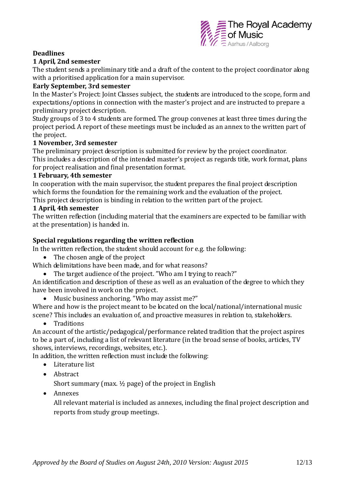

#### **Deadlines**

#### **1 April, 2nd semester**

The student sends a preliminary title and a draft of the content to the project coordinator along with a prioritised application for a main supervisor.

#### **Early September, 3rd semester**

In the Master's Project: Joint Classes subject, the students are introduced to the scope, form and expectations/options in connection with the master's project and are instructed to prepare a preliminary project description.

Study groups of 3 to 4 students are formed. The group convenes at least three times during the project period. A report of these meetings must be included as an annex to the written part of the project.

#### **1 November, 3rd semester**

The preliminary project description is submitted for review by the project coordinator. This includes a description of the intended master's project as regards title, work format, plans for project realisation and final presentation format.

#### **1 February, 4th semester**

In cooperation with the main supervisor, the student prepares the final project description which forms the foundation for the remaining work and the evaluation of the project. This project description is binding in relation to the written part of the project.

#### **1 April, 4th semester**

The written reflection (including material that the examiners are expected to be familiar with at the presentation) is handed in.

#### **Special regulations regarding the written reflection**

In the written reflection, the student should account for e.g. the following:

• The chosen angle of the project

Which delimitations have been made, and for what reasons?

• The target audience of the project. "Who am I trying to reach?"

An identification and description of these as well as an evaluation of the degree to which they have been involved in work on the project.

Music business anchoring. "Who may assist me?"

Where and how is the project meant to be located on the local/national/international music scene? This includes an evaluation of, and proactive measures in relation to, stakeholders.

• Traditions

An account of the artistic/pedagogical/performance related tradition that the project aspires to be a part of, including a list of relevant literature (in the broad sense of books, articles, TV shows, interviews, recordings, websites, etc.).

In addition, the written reflection must include the following:

- Literature list
- Abstract

Short summary (max. ½ page) of the project in English

Annexes

All relevant material is included as annexes, including the final project description and reports from study group meetings.